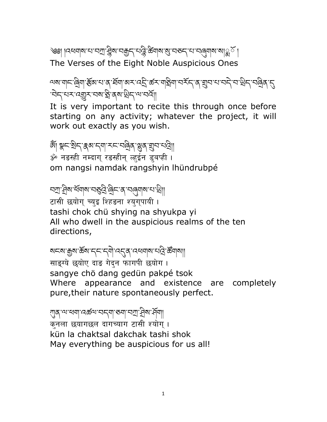ঙ্গ্র। ।বধ্যমান'মামা' দ্লুম'নক্কুন্'ন'ব্ল্লি'র্জ্যমাম'ম্ভাস্ক'মাঞ্জ'র । The Verses of the Eight Noble Auspicious Ones

ལས་གང་˭ིག་ɬོམ་པ་ན་ཐོག་མར་འȮི་ཚར་ག˟ིག་བརོད་ན་ǿབ་པ་བདེ་བ་˰ིད་བ˭ིན་ȭ ิ चेन्'यर 'व्ह्युर 'यब'ड्वे'ब्ब'थ्रेन्' अ'वर्षे||

It is very important to recite this through once before starting on any activity; whatever the project, it will work out exactly as you wish.

ৠ৷ ৠ৲য়ৗ৸ৼ৸ৼ৸৸ৼ৸ৼ৸ড় ॐ नडस्ही नम्दाग् रडस्हीन् व्हईन ड्बप्ही । om nangsi namdak rangshyin lhündrubpé

নস্ৰা: ধ্ৰিম'ৰ্শৰাম'নস্ত্ৰী: ৰিদ'ৰ 'নৰ্নাম'ন' খ্ৰা टासी छयोग् च्युइ श्हिडना श्यगुपायी। tashi chok chü shying na shyukpa yi

All who dwell in the auspicious realms of the ten directions,

ষ⊏ম'ক্সুম'ৰ্স্কম'ন্ন্'ন্ন্ন্'ন্ন্ন্ন্'ন্মৰ্থমাম'ন্ন্ৰি'ৰ্স্কমাৰা||

साइग्ये छयोए दाड गेदन फागपी छयोग। sangye chö dang gedün pakpé tsok Where appearance and existence are completely pure,their nature spontaneously perfect.

গ্যুষ্ 'ন্ম'ধ্যম্' বের্জন্ম'বদ্মা' ন্যা' ব্রিম'র্দ্রমা क्नला छयागछल दागच्याग टासी श्योग् । kün la chaktsal dakchak tashi shok May everything be auspicious for us all!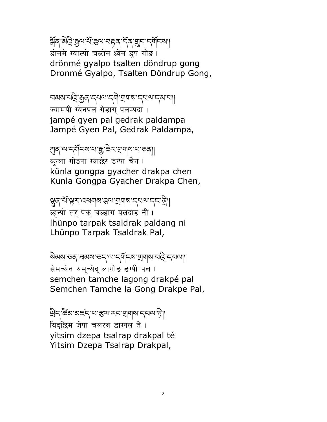য়ৰ্ব ন্য ব্ৰি: দ্ৰুন শ্ৰম কৰে কৰা মুখ কৰা বিদেশ। डोनमे ग्याल्पो चल्तेन ध्वेन डुप गोड़। drönmé gyalpo tsalten döndrup gong Dronmé Gyalpo, Tsalten Döndrup Gong,

བམས་པ˯ི་Ȅན་དཔལ་དགེ་Ǿགས་དཔལ་དམ་པ།། ज्यामपी ग्येनपल गेडाग पलम्पदा । jampé gyen pal gedrak paldampa Jampé Gyen Pal, Gedrak Paldampa,

স্ত্ৰ্ৰ্ণশ'ন্ৰ্ণ্ণনিৰ্ণ'ৱাক্টৰ্ন' শ্ৰম্ৰাৰ্ণ' বাৰ্ত্ত্ कन्ला गोडपा ग्याछेर डग्पा चेन । künla gongpa gyacher drakpa chen Kunla Gongpa Gyacher Drakpa Chen,

ञ्जुब् संस्थर पद्मवाबाद्यालयान् अ **ल्हन्पो तर् पक् चल्डाग पलदा**ङ नी । lhünpo tarpak tsaldrak paldang ni Lhünpo Tarpak Tsaldrak Pal,

ষ্টিম স্কুল বিশ্বজন কৰি বিশিষ্ট্য বিশিষ্ট্য স্কুল বিশিষ্ট্য স্কুল বিশিষ্ট্য স্কুল বিশিষ্ট্য স্কুল বি सेमच्येन थम्च्येद् लागोड डग्पी पल । semchen tamche lagong drakpé pal Semchen Tamche la Gong Drakpe Pal,

খ্রিন্'ক্রঁঝ'ঝার্হন্'থ'স্থাম সমাত্রামান্দ্রামান্দ্রা थिदछिम जेपा चलरब डाग्पल ते । yitsim dzepa tsalrap drakpal té Yitsim Dzepa Tsalrap Drakpal,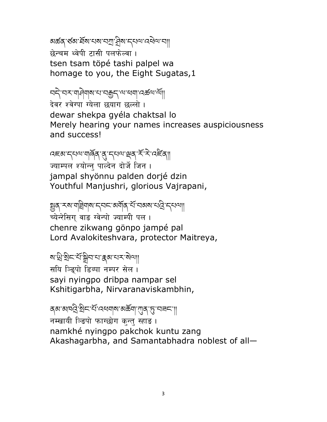ষর্ক্তব্'র্ডঝ'র্মামামামা' ব্রিম'ন্নথেশ' বেশ বা छेन्चम थ्वेपी टासी पलफेल्वा । tsen tsam töpé tashi palpel wa homage to you, the Eight Sugatas,1

བདེ་བར་གཤེགས་པ་བȄད་ལ་ཕག་འཚལ་ལོ།།

देवर श्वेग्पा ग्येला छयाग छल्लो । dewar shekpa gyéla chaktsal lo Merely hearing your names increases auspiciousness and success!

दह्य'द्ध्वाय'यार्वेव्'तु'द्ध्वाश्र्व्'र्स्'रे'त्र्ह्या ज्याम्पल श्योन्न् पाल्देन दोर्जे जिन । jampal shyönnu palden dorjé dzin Youthful Manjushri, glorious Vajrapani,

જીત્ મહાર ગાલેવા માનવા અર્થીત સ્વાન અને આ ગાલે કે તેમની च्येन्रेसिग वाङ ग्वेन्पो ज्याम्पी पल । chenre zikwang gönpo jampé pal Lord Avalokiteshvara, protector Maitreya,

<u>য়ৼয়৻য়৻৸ৼ৻ড়ৗৼ৻৻৸৻৸</u> सयि ञ्डिपो डिब्पा नम्पर सेल। sayi nyingpo dribpa nampar sel Kshitigarbha, Nirvaranaviskambhin,

ব্ৰু ৰাজ্যৰ বিদ্যালয়ৰ বিদ্যালয়ৰ বিদ্যালয়ৰ বিদ্যা नम्खायी ञ्डिपो फाग्छोग कुन्तु स्हाङ । namkhé nyingpo pakchok kuntu zang Akashagarbha, and Samantabhadra noblest of all—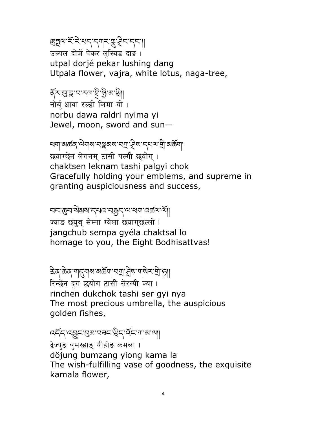## <u>छ</u>ाङ्गया रॅंग्ने राम सुर्ग राम सुर्ग हो करना।

उल्पल दोर्जे पेकर लस्यिङ दाङ । utpal dorjé pekar lushing dang Utpala flower, vajra, white lotus, naga-tree,

ৰ্ব্≍্ন্তৰাবাৰ্য ব্ৰাপ্তিৰ <u>ব</u>া नोर्ब् धावा रल्डी ञिमा यी। norbu dawa raldri nyima yi Jewel, moon, sword and sun—

খনা'মক্তব্ 'ন্যানাম'নস্কুমম'নস্ৰা' ব্ৰিম'ন্নেন্য' শ্ৰী'মৰ্ক্তনা छयाग्छेन लेगनम टासी पत्नी छयोग। chaktsen leknam tashi palgyi chok Gracefully holding your emblems, and supreme in granting auspiciousness and success,

བང་Șབ་སེམས་དཔའ་བȄད་ལ་ཕག་འཚལ་ལོ།། ज्याङ छयुब् सेम्पा ग्येला छयाग्छल्लो । jangchub sempa gyéla chaktsal lo homage to you, the Eight Bodhisattvas!

ঽক্ষিক্ষা আৰু আৰু বিশা বিশিষ্টি বিশিষ্টি বিশিষ্ট रिन्छेन दग छयोग टासी सेरग्यी ञ्या। rinchen dukchok tashi ser gyi nya The most precious umbrella, the auspicious golden fishes,

འདོད་འɏང་ɍམ་བཟང་˰ིད་འོང་ཀ་མ་ལ།།

द्वेज्युङ बुमस्हाङ् यीहोङ कमला । döjung bumzang yiong kama la The wish-fulfilling vase of goodness, the exquisite kamala flower,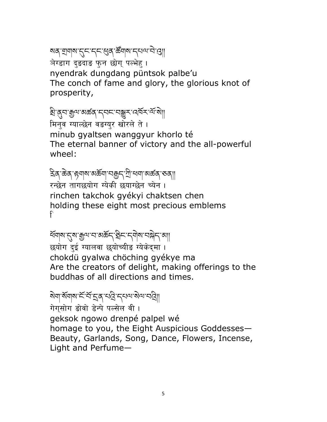## སན་Ǿགས་ȭང་དང་Ɉན་ཚǑགས་དཔལ་བེ་ɹ།།

त्रेग्डाग दुडदाड फुन छोग् पल्भेहु।

nyendrak dungdang püntsok palbe'u The conch of fame and glory, the glorious knot of prosperity,

### ষ্ট্ৰান্ত্ৰমান্ত্ৰজ্ঞান্ত বিদ্যালয়ৰ বিদ্যালয়

मिनव ग्याल्छेन वङग्यर खोरले ते । minub gyaltsen wanggyur khorlo té The eternal banner of victory and the all-powerful wheel:

# ঽিব্`ক্টব্`ঙ্গশ্বাম'ম্জ্ৰন্'শ্ৰী'ধ্বশ্বাম্ক্ৰব্'ৰ্ডব্

रन्छेन तागछयोग ग्येकी छयाग्छेन च्येन । rinchen takchok gyékyi chaktsen chen holding these eight most precious emblems f

## ধ্যামান্ত্ৰাজ্ঞানজ্ঞান কৰিব। বিদ্যালয়ৰ বিদ্যা

छयोग दई ग्यालवा छयोच्यीङ ग्येकेदमा । chokdü gyalwa chöching gyékye ma Are the creators of delight, making offerings to the buddhas of all directions and times.

## ষ্মিণা মাঁবাৰ স্মান্ত বিদ্যালয়ৰ স্মান্ত

गेगसोग डोवो डेन्पे पल्सेल वी। geksok ngowo drenpé palpel wé homage to you, the Eight Auspicious Goddesses— Beauty, Garlands, Song, Dance, Flowers, Incense, Light and Perfume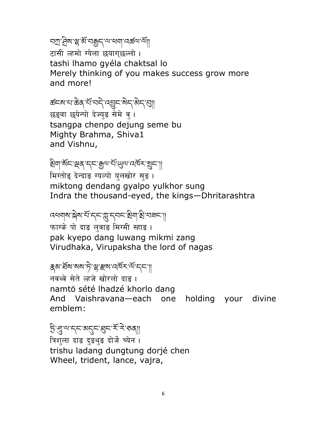অশ্ৰাধ্যুশ্ম বক্সবাৰে বিদ্যালয় বিদ্যালয়

टासी ल्हमो ग्येला छयाग्छल्लो । tashi lhamo gyéla chaktsal lo Merely thinking of you makes success grow more and more!

ಹ៍ឝས་པ་ಹិན་པོ་བདེ་འབྱང་སེད་མེད་བུ།| छड्बा छयेन्पो देज्यड सेमे व । tsangpa chenpo dejung seme bu Mighty Brahma, Shiva1 and Vishnu,

बेया'रग्द्र्श्व्र' द्र्म् कुत्रा संस्था में ब्रह्म मिग्तोङ् देन्दाङ ग्यल्पो युलखोर सुङ। miktong dendang gyalpo yulkhor sung Indra the thousand-eyed, the kings—Dhritarashtra

འཕགས་ǰེས་པོ་དང་ǩ་དབང་ɡིག་ɡི་བཟང་།། फाग्के पो दाङ लुवाङ मिग्मी स्हाङ । pak kyepo dang luwang mikmi zang Virudhaka, Virupaksha the lord of nagas

ह्रबार्धेबाबबार्ेस्था संबद्धा क्षेत्र नवथ्वे सेते ल्हजे खोरलो दाङ । namtö sété lhadzé khorlo dang And Vaishravana—each one holding your divine emblem:

Ȥི་͓་ལ་དང་མȭང་Ȭང་རོ་རེ་ཅན།། त्रिशुला दाङ दुङथुङ दोर्जे च्येन । trishu ladang dungtung dorjé chen Wheel, trident, lance, vajra,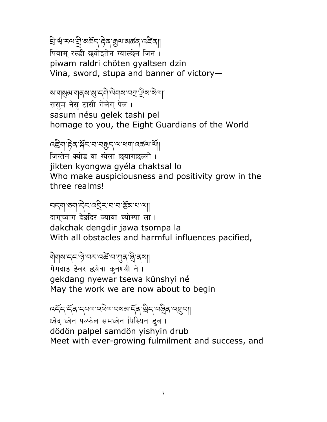ష్రోభి रूप श्री अर्केद हेव सुष अर्कव प्रदे<mark>ं</mark>वा पिवाम रल्डी छयोइतेन ग्याल्छेन जिन । piwam raldri chöten gyaltsen dzin Vina, sword, stupa and banner of victory-

สงขายสงขาง สารณ์ สาราช สงขาง

ससम नेस् टासी गेलेग् पेल। sasum nésu gelek tashi pel homage to you, the Eight Guardians of the World

෬<u>៝</u>ヹ゚ゕゖヹ゚ヹ゚ゕゟゕゟゕゟ゚ゕゖゟ゚ゕゖゟ゚ゕゖゟ゚ゖ゚ゟ゚ゖゟゟ゚ゖゟ゚ゕゖ जिग्तेन क्योङ वा ग्येला छयागछल्लो । jikten kyongwa gyéla chaktsal lo Who make auspiciousness and positivity grow in the three realms!

**SKAI** BAIR REAR AND LA दागच्याग देडदिर ज्यावा च्योम्पा ला । dakchak dengdir jawa tsompa la With all obstacles and harmful influences pacified,

येयाषाम् अर्थात्राज्यस्य अपान् वि गेगदाड डेबर छयेवा क्नश्यी ने। gekdang nyewar tsewa künshyi né May the work we are now about to begin

෬෫ඁඁ෮ඁ<sub>ඁ</sub>෫෪෫෬ඁ෦෮෫෮෫෮෫෮෫෮෫෮෫෮෫෦෯෮෫෮෫෮෦෮෪෦෪෦෦ ध्वेद ध्वेन पल्फेल समध्वेन यिस्यिन डब । dödön palpel samdön yishyin drub Meet with ever-growing fulmilment and success, and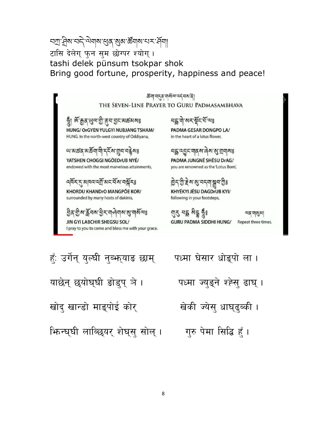#### <u>नग्रा सेबान्दिज्येबाबासुबाबुबार्स्डबाबान्धरास्वि</u> टासि देलेगु फुन सुम छोग्पर श्योग् । tashi delek pünsum tsokpar shok Bring good fortune, prosperity, happiness and peace!

कवा वनुक्रवासवा वर्तवसाती THE SEVEN-LINE PRAYER TO GURU PADMASAMBHAVA

ন্ধ্ৰী <u>ৰূ,</u> মুখ্য মুট, প্ৰন, প্ৰশ প্ৰশ্ন প্ৰশ্ন প্ৰশ HUNG/ OrGYEN YULGYI NUBJANG TSHAM/ HUNG. In the north-west country of Oddiyana,

আমন্তব্বমন্ত্ৰিণাৰী নৃত্যমান্ত্ৰণাৰ ৰূমঃ YATSHEN CHOGGI NGÖEDrUB NYÉ/ endowed with the most marvelous attainments,

#### নৰ্দ্ৰ ন্মাননাম ৰাজ্য নামৰ

KHORDU KHANDrO MANGPÖE KOR/ surrounded by many hosts of dakinis,

<u> वृत् सु शङ्केनशङ्के राजलेजशङ्कारां संज्ञह</u> JIN GYI LABCHIR SHEGSU SOL/ I pray to you to come and bless me with your grace. राष्ट्रीयो.श≾.सूँट.दा.जहे

PADMA GESAR DONGPO LA/ in the heart of a lotus flower,

নহ্ন ন্মুন নাৰ্ম নেম মু ন্মনামঃ PADMA JUNGNÉ SHÉSU DrAG/ you are renowned as the 'Lotus Born',

इन् गुः इं बारा ननना सन गुड KHYÉKYI JÉSU DAGDrUB KYI/

following in your footsteps,

ন্মহ নম্ভ শ্ৰম্ভ স্ত্ৰীঃ **GURU PADMA SIDDHI HUNG/** 

অন্সমান্ত্য Repeat three times.

हूँ: उर्गेन् युल्घी नुब्फ याड छाम् याछेन् छयोघ्घी डोड्प् ञे। खोद् खान्डो माङ्पोई कोर् भिन्घ्घी लाव्छियर् शेघस् सोल् । पध्मा घेसार धोङ्पो ला। पध्मा ज्युङ्ने श्हेसु ढाघ् । खेकी ज्येसु धाघुढुब्की । ागुरु पेमा सिद्धि हैं ।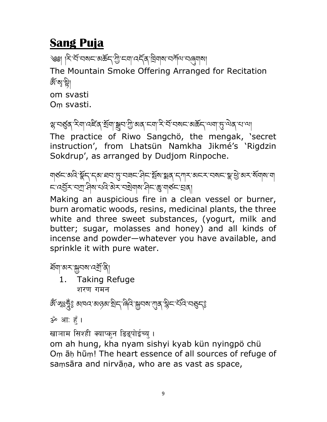## Sang Puja

্জ্ঞ৷ ক্ষিপ্ৰেশ্বৰ অৰ্জন্'গ্ৰীমৰাৰ্শ্বিশ বৰ্তমাৰ্শ The Mountain Smoke Offering Arranged for Recitation ক্ষেপ্ৰেণ্ট| om svasti Oṃ svasti.

ৼ्ग्रान्ड्ब् स्त्रेण दह्ष्व छॅग।ञ्ज्ञुन गुरुष्व स्वास्ट्रेन्द्रम् वरूस्य अर्क्ष्म् अवासुरुष्वेव साला

The practice of Riwo Sangchö, the mengak, 'secret instruction', from Lhatsün Namkha Jikmé's 'Rigdzin Sokdrup', as arranged by Dudjom Rinpoche.

গ্মন্তন অবি স্কুন নৰে প্ৰবাদ্য অৱনা বিনাইৰ স্থায়ন কৰা সম্পৰ্ক কৰা বিনাৰ সম্পৰ্ক কৰা বিনাৰ স ८་འརྲོར་བཀུ་བིས་པའི་མེར་བསྲིགས་བིང་རྱ་གུནོང་བྲན།

Making an auspicious fire in a clean vessel or burner, burn aromatic woods, resins, medicinal plants, the three white and three sweet substances, (yogurt, milk and butter; sugar, molasses and honey) and all kinds of incense and powder—whatever you have available, and sprinkle it with pure water.

হিনাঅনস্মূনমান্স্রিষ্

1. Taking Refuge शरण गमन

ঞ্জঁ'গ্মঃদ্ভুঁঃ ঝামন'মন্ত্ৰৰ'ষ্টান্'ৰিনি'ক্সুনম'শ্যুৰ্'ক্ল্বীন'ৰ্যনি'ন্ত্তুন্ঃ

<u>ॐ आः ह</u>ैं ।

खाञाम सिश्ही क्याप्कुन डिड्पोईच्यु ।

om ah hung, kha nyam sishyi kyab kün nyingpö chü Oṃ āḥ hūṃ! The heart essence of all sources of refuge of saṃsāra and nirvāṇa, who are as vast as space,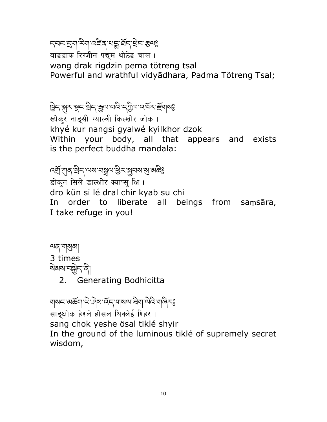## ॸऺ॑ॴॱड़ॾॣॳॖफ़॔ड़ऻॷॖॖॖऺॱख़ॷ

वाङडाक रिग्जीन पद्यम थोठेङ चाल । wang drak rigdzin pema tötreng tsal Powerful and wrathful vidyādhara, Padma Tötreng Tsal;

ট্টিন্'ৰ্ম্বুশ্'ষ্টিন্' ক্ৰুন্ম'নৰ্বি'ন্ট্ৰিন'ৰ্ম্বিক'ৰ্ইন্মৰ্ম্ভ

ख्येकर नाड्सी ग्याल्वी किल्खोर जोक । khyé kur nangsi gyalwé kyilkhor dzok Within your body, all that appears and exists is the perfect buddha mandala:

বর্ষ্য শাব্দ ব্রিশ শ্রম শ্রম শ্রম শ্রম শ্রম শ্রেষ্ট डोकन सिले डाल्क्षीर क्याप्स् क्षि । dro kün si lé dral chir kyab su chi In order to liberate all beings from saṃsāra, I take refuge in you!

শ্ৰম্ শৰ্মুৰা 3 times ষমৰামন্ত্ৰী বি 2. Generating Bodhicitta

གསང་མརོག་ལེ་བྲིས་འོད་གསལ་རིག་ལེའི་གའིརརྱ साङक्षोक हेश्ले होसल थिक्लेई शिहर । sang chok yeshe ösal tiklé shyir In the ground of the luminous tiklé of supremely secret wisdom,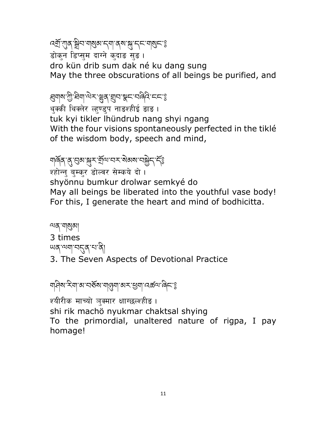#### འǾོ་ǣན་Ȍིབ་གʀམ་དག་ནས་DZ་དང་གʀང༌༔ डोकन डिप्सम दाग्ने कुदाड सुड । dro kün drib sum dak né ku dang sung May the three obscurations of all beings be purified, and

## ह्यगद्या ग्रेज़िक्षण कर्णाटक स्थान स्थान कर्णाटक स्थान कर्णाटक स्थान कर्णाटक स्थान कर्णाटक स्थान कर्णाटक स्थान<br>हिंदी जाने के लिख कर स्थान करने के लिख कर स्थान कर स्थान कर स्थान कर स्थान कर स्थान कर स्थान कर स्थान कर स्था

थक्की थिक्लेर ल्हण्डुप नाडश्हीई डाड ।

tuk kyi tikler lhündrub nang shyi ngang With the four visions spontaneously perfected in the tiklé of the wisdom body, speech and mind,

## ঘাৰ্ণৰ ব্ৰ'ন্ড্ৰম'ক্সুৰ শ্ৰ্মান্মৰ ৰাজ্যমান স্কুৰ দ্বী

श्होन्नु बुम्कर डोल्वर सेम्कये दो । shyönnu bumkur drolwar semkyé do May all beings be liberated into the youthful vase body! For this, I generate the heart and mind of bodhicitta.

শ্ৰম্ শৰ্মুৰা 3 times ཡན་ལག་བȭན་པ་ནི། 3. The Seven Aspects of Devotional Practice

ঘণ্ণিৰ ক্ষাণ্ডা মন্ত্ৰী সম্প্ৰা সম্প্ৰা

श्यीरीक माच्यो ञुक्मार क्षाग्छल्श्हीड । shi rik machö nyukmar chaktsal shying To the primordial, unaltered nature of rigpa, I pay homage!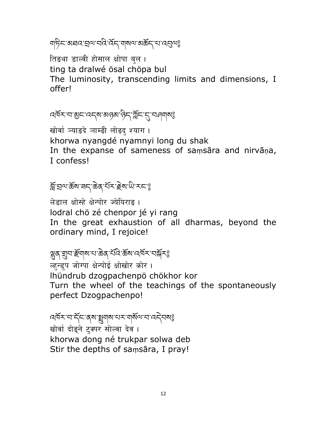ยาริสามสุด สุด สุด สุด สุด สุด สุด สุด สุด

तिङथा डाल्वी होसाल क्षोपा बल । ting ta dralwé ösal chöpa bul The luminosity, transcending limits and dimensions, I offerl

<u>สตราสาติสารสารสุดาลิสาสัยสาราสสุ</u>ป

खोर्वा व्याडदे ञाम्डी लोडद् श्याग । khorwa nyangdé nyamnyi long du shak In the expanse of sameness of samsara and nirvana, I confess!

## ब्लिया के बाज के स्वार के स्वार्थ कर से के साथ कर से स्वार के साथ कर से स्वार के साथ कर से स्वार के

लेडाल क्षोस्हे क्षेन्पोर ज्येयिराङ । lodral chö zé chenpor jé yi rang In the great exhaustion of all dharmas, beyond the ordinary mind, I rejoice!

ल्हुन्डुप जोग्पा क्षेन्पोई क्षोखोर कोर। Ihündrub dzogpachenpö chökhor kor Turn the wheel of the teachings of the spontaneously perfect Dzogpachenpo!

GRATIF SA EN EN CONTE खोर्वा दोङने टक्पर सोल्वा देव । khorwa dong né trukpar solwa deb Stir the depths of samsara, I pray!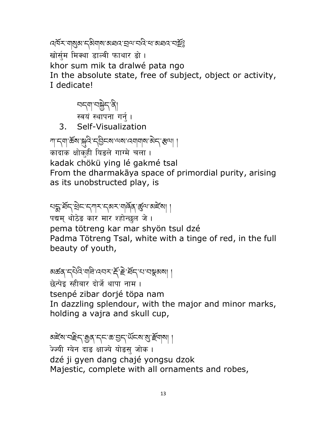෬෦ඁ෮ඁඁ෫ඁ෭෨෧෨෪෯෨෧෪෬෭෪෬෦෫෮෭෪෫෧ඁඁඁ खोर्सम मिक्था डाल्वी फाथार डो। khor sum mik ta dralwé pata ngo In the absolute state, free of subject, object or activity, I dedicate!

न्पद्गान्<mark>ञ</mark>्जेद<sup>्</sup>वे|<br>स्वयं स्थापना गर्नु ।

 $\mathcal{E}$ Self-Visualization

พรม ซึ่ง พรรม 5 5 สิง 25 สิง 25 สิง 25 कादाक क्षोकुही यिङले गाग्मे चला । kadak chökü ying lé gakmé tsal From the dharmakaya space of primordial purity, arising as its unobstructed play, is

सङ्गः र्धन् सेन् नगुरान् अराणवेव रहे या अहेत्या पद्यम् थोठेड कार मार श्होन्छल जे। pema tötreng kar mar shyön tsul dzé Padma Tötreng Tsal, white with a tinge of red, in the full beauty of youth,

अर्क़व्राद्देविः यविः वयरार्द्देश्विद्यायात्रु कार्या । छेन्पेड स्हीबार दोर्जे थापा नाम। tsenpé zibar dorjé töpa nam In dazzling splendour, with the major and minor marks, holding a vajra and skull cup,

अद्देष' पहेन्' कुव्' नृत्त' क' चुन्' थॅन्ब्य' बु' हॅयाबा । ज्ज्यी ग्येन दाङ क्षाज्ये योङस जोक। dzé ji gyen dang chajé yongsu dzok Majestic, complete with all ornaments and robes,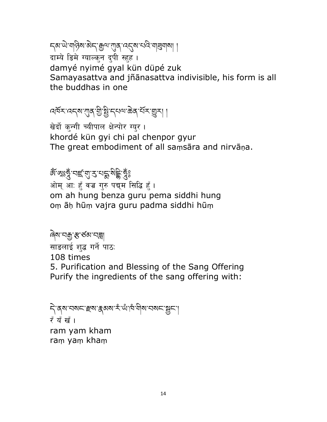དམ་ཡེ་གཉིས་མེད་Ȅལ་ǣན་འȭས་པའི་གɶགས། ། दाम्ये डिमे ग्याल्कन दुपी स्हुह । damyé nyimé gyal kün düpé zuk

Samayasattva and jñānasattva indivisible, his form is all the buddhas in one

বর্ষিম'ব্দেম'শ্যুব'খ্রী'ষ্ট্র'ন্থম্মা ৰাইম'খ্রুমা ।

खेर्दो कन्गी च्यीपाल क्षेन्पोर ग्यूर । khordé kün gyi chi pal chenpor gyur The great embodiment of all saṃsāra and nirvāṇa.

& জুৱু নাৰ্ছ এ প্ৰাৰ্থ প্ৰতি কুৱ ओम् आः हुँ वज्र गुरु पद्यम सिद्धि हुँ । om ah hung benza guru pema siddhi hung oṃ āḥ hūṃ vajra guru padma siddhi hūṃ

ৰ্ষিম'নক্ৰুস্ক'ৰ্ডৰা'নক্ল্ৰ साडलाई शढ़ गर्ने पाठः 108 times 5. Purification and Blessing of the Sang Offering Purify the ingredients of the sang offering with:

ริ สุล สารา สุล สุล จาร์ เจ้า ตุล ที่ ยาว สาร สุ 7ँ यँ ख<sup>ै</sup>। ram yam kham raṃ yaṃ khaṃ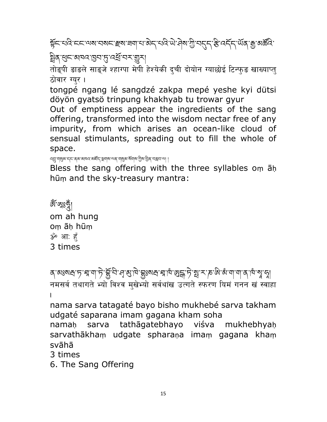हॅट्रायविन्टरायरायराटाहराज्ञायाअन्यविन्धे से अधिकारी अन्य क्रम्भा कुछार्कवि ষ্ট্রিব্'ধ্রুম'ন্সামেন'ড্রম'

तोङ्पी डाडले साङ्जे श्हाग्पा मेपी हेश्येकी दुची दोयोन ग्याछोई टिन्फुड खाख्याप्त् ठोवार ग्युर।

tongpé ngang lé sangdzé zakpa mepé yeshe kyi dütsi döyön gyatsö trinpung khakhyab tu trowar gyur

Out of emptiness appear the ingredients of the sang offering, transformed into the wisdom nectar free of any impurity, from which arises an ocean-like cloud of sensual stimulants, spreading out to fill the whole of space.

्त्युः याथुब्राम्न्द्रः बृबाः बावादाः बार्ह्म् स्थावाः जब्राः याथुबाः ब्रावाद्याः गुबाः चुब् स्वत्रसार् ।

Bless the sang offering with the three syllables oṃ āḥ hūṃ and the sky-treasury mantra:

&্ষিঞ্জভুৰ্ী om ah hung oṃ āḥ hūṃ ॐ आ: हँ 3 times

ঽ་མਃསྲ་ॸೢ་རྲ་ག་ॸེ་རྒྱོབི་ধৢ་མྱ་ལེ་རྒྱུས་ར་རྱ་སྱ་ར།་སྱུ་ར་་རྱ་ལེ་ལུ་ལྲ་བྲ། नमसर्व तथागते भ्यो विश्व मुखेभ्यो सर्वथांख उत्गते स्फरण यिमं गनन खं स्वाहा .

nama sarva tatagaté bayo bisho mukhebé sarva takham udgaté saparana imam gagana kham soha

namaḥ sarva tathāgatebhayo viśva mukhebhyaḥ sarvathākhaṃ udgate spharaṇa imaṃ gagana khaṃ svāhā

3 times

6. The Sang Offering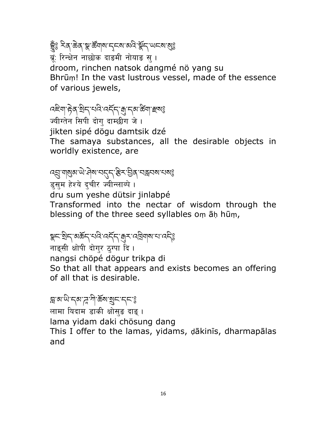### ङ्ग्रैः दिन् केव् भ्रु क्रॅंगवार् द्रव्या अदि भ्रॅंद् 'अदवा बुः

ब्रं: रिन्क्षेन नाछोक दाडमी नोयाड स् । droom, rinchen natsok dangmé nö yang su Bhrūm! In the vast lustrous vessel, made of the essence of various jewels,

### RES BA BA KARA A SA BA

ज्यीग्तेन सिपी दोग् दाम्छीग जे। jikten sipé dögu damtsik dzé The samaya substances, all the desirable objects in worldly existence, are

## สรรมสามารุง สารสุรา สุขารราช

इसम हेश्ये दचीर ज्यीन्लाब्पे। dru sum yeshe dütsir jinlabpé Transformed into the nectar of wisdom through the blessing of the three seed syllables om an hum,

## ङ्गमण्डान् अर्कम् प्रविष्वम् अर्क्षम् प्रविद्यालयात् ।

नाङ्सी क्षोपी दोग्र ठ्ग्पा दि। nangsi chöpé dögur trikpa di So that all that appears and exists becomes an offering of all that is desirable.

### ब्राबाये दबाद्गी के बाह्य दिन है

लामा यिदाम डाकी क्षोसुङ दाङ् । lama yidam daki chösung dang This I offer to the lamas, yidams, dākinīs, dharmapālas and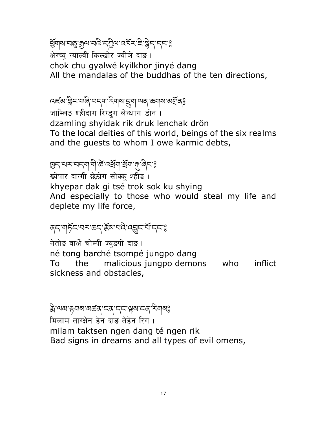ğsqlarıqğığı sarakında salarıq bir sarakından sa क्षेग्च्य ग्याल्वी किल्खोर ज्यीञे दाङ। chok chu gyalwé kyilkhor jinyé dang All the mandalas of the buddhas of the ten directions,

ব্ছে ষ্ট্ৰান্দ নাৰি বৰ্ণা ইনাৰ ব্ৰিমা অৰ্থা কৰা সম্ভি

जाम्लिङ श्हीदाग रिग्डुग लेन्क्षाग डोन ।

dzamling shyidak rik druk lenchak drön To the local deities of this world, beings of the six realms and the guests to whom I owe karmic debts,

## ଞ୍ଚ<'খ≺'ঘ<ଶ'শী'ॐ'নৰ্শ্ৰশ'ৰ্শী'ৰ্শ'ৰি়°ঃ

ख्येपार दाग्गी छेठोग सोक्क् श्हीङ । khyepar dak gi tsé trok sok ku shying And especially to those who would steal my life and deplete my life force,

### สุราตุธัฺธาสุราชธุราชี สุธุราชารุรา

नेतोड वार्क्षे चोम्पी ज्युडपो दाड़। né tong barché tsompé jungpo dang To the malicious jungpo demons who inflict sickness and obstacles,

ষ্টি'শ্ম দুনাম'মৰ্জন্'নৰ্'ন্ন' শ্লম'নৰ্' মিনামঃ मिलाम ताग्क्षेन डेन दाड तेडेन रिग । milam taktsen ngen dang té ngen rik Bad signs in dreams and all types of evil omens,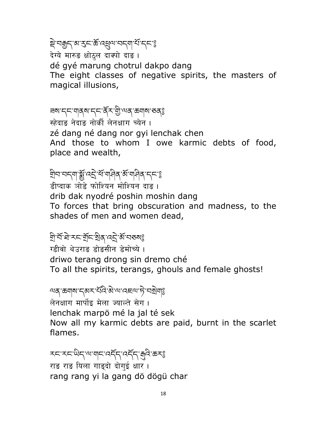### ষ্ট্র'নক্কুন্'ৰ্স'র্ক'ৰ্স্ন্থৰ'ন্দ'র্শ'ন্দ'ঃ

देग्ये मारुड क्षोठ्ल दाक्पो दाङ। dé gyé marung chotrul dakpo dang The eight classes of negative spirits, the masters of magical illusions,

# ཟས་དང་གནས་དང་ནོར་Ǽི་ལན་ཆགས་ཅན༔

:<br>स्हेदाइ नेदाइ नोर्की लेनक्षाग च्येन । zé dang né dang nor gyi lenchak chen And those to whom I owe karmic debts of food, place and wealth,

## হীন'নন্ম"ৰ্ষ্ক্ৰ'নেই'শম্পিৰ্স'ৰ্জ'ম্পিৰ্'ন্ন'ঃ

डीप्दाक ञोडे फोश्यिन मोश्यिन दाङ । drib dak nyodré poshin moshin dang To forces that bring obscuration and madness, to the shades of men and women dead,

### <u>ন্</u>ৰীশ্ৰ ষদ শ্ৰীন শ্ৰীৰ ৰেটৰ মূৰ অৰ্থ

<u>ग्हीवो थेउराङ डोङसीन डेमोच्ये ।</u> driwo terang drong sin dremo ché To all the spirits, terangs, ghouls and female ghosts!

## অন্ জন্ম দ্ৰুম ধৰি ৰাজ্য বছৰ দি ঘৰ্ষ্মী

लेनक्षाग मार्पोइ मेला ज्याल्ते सेग । lenchak marpö mé la jal té sek Now all my karmic debts are paid, burnt in the scarlet flames.

རང་རང་ཡིད་ལ་གང་འདོད་འདོད་ȃའི་ཆར༔ राङ राङ यिला गाङ्दो दोगई क्षार । rang rang yi la gang dö dögü char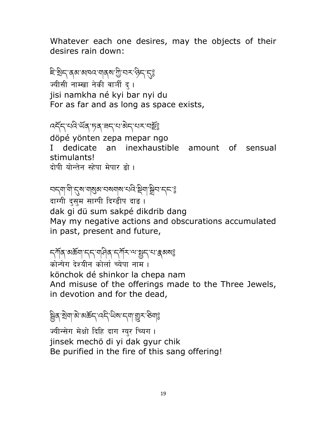Whatever each one desires, may the objects of their desires rain down:

## ই:ষ্ট্ৰিন্'ব্ৰ্ম'মান্নম'মুম'ট্ৰী'ন্ম' 'ব্ৰিন্' ব্ৰি

ज्यीसी नाम्खा नेकी वार्ञी द्। jisi namkha né kyi bar nyi du For as far and as long as space exists,

### འདོད་པའི་ཡོན་ཏན་ཟད་པ་མེད་པར་བȓོ༔

döpé yönten zepa mepar ngo I dedicate an inexhaustible amount of sensual stimulants! दोपी योन्तेन स्हेपा मेपार डो।

## อธุตฺ ตฺ "สุสฺ ทุ สุสฺ ทุ สุสฺ ทุ สุสฺ ทุ สุสฺ ทุ สุส

दाग्गी दुसुम साग्पी दिग्डीप दाङ । dak gi dü sum sakpé dikdrib dang May my negative actions and obscurations accumulated in past, present and future,

## ন্সাঁৰ অৰ্জ্ঞা ন্দ শৰীৰ নাম স্বাস্থ্য স্থা বিষ্ণা

कोन्षेग देश्यीन कोर्ला च्येपा नाम । könchok dé shinkor la chepa nam And misuse of the offerings made to the Three Jewels, in devotion and for the dead,

## ह्वित् श्रेषा बे अर्कन् दन् योग नया शुरू से गई

ज्यीन्सेग मेक्षो दिहि दाग ग्युर च्यिग । jinsek mechö di yi dak gyur chik Be purified in the fire of this sang offering!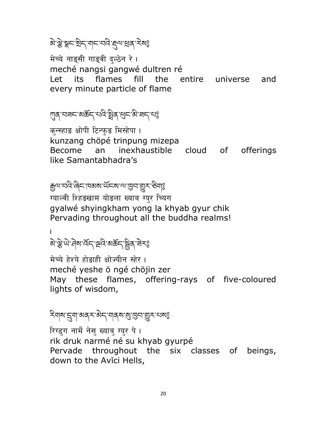## बे ब्रे भूट बेन गान नवे हवा सक् रेयड

मेच्ये नाङ्सी गाङ्वी दल्ठेन रे । meché nangsi gangwé dultren ré Let its flames fill the entire universe and every minute particle of flame

্যান্ মেন্নন'মঙ্কঁন্'খনি'ষ্ট্ৰন্'শ্ৰুন'মি'নন্'মঃ

कुन्स्हाङ क्षोपी टिन्फुङ मिस्हेपा । kunzang chöpé trinpung mizepa Become an inexhaustible cloud of offerings like Samantabhadra's

मुत्याद्मदेखिनामञ्जूषा अञ्चल स्थान के अप

ग्याल्वी शिहडखाम योडला ख्याब ग्युर च्यिग gyalwé shyingkham yong la khyab gyur chik Pervading throughout all the buddha realms!

. बे सुयो मेया देन से बे अर्कन बुर ने रह

मेच्ये हेश्ये होड़ाही क्षोज्यीन स्हेर । meché yeshe ö ngé chöjin zer May these flames, offering-rays of five-coloured lights of wisdom,

ริยุต รู้ขามสุรามีรายุรายุรายร

रिग्डुग नार्मे नेसु ख्याब् ग्युर पे । rik druk narmé né su khyab gyurpé Pervade throughout the six classes of beings, down to the Avīci Hells,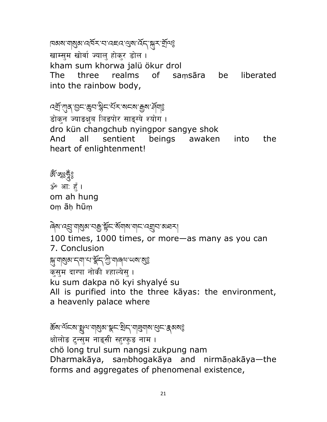#### দেখৰাৰীৰ প্ৰত্ন প্ৰদেশ বিদ্যালীৰ বিদ্যাল

खाम्सुम खोर्वा ज्यालु होकुर डोल । kham sum khorwa jalü ökur drol

The three realms of saṃsāra be liberated into the rainbow body,

## বর্ষ্য শূব্র'ভূন'স্তুন'র্ম্বন'মেন্ম' ক্রুম'র্দ্র্মাণ্ড

डोक्न ज्याडक्ष्ब ञिडपोर साङ्ग्ये श्योग । dro kün changchub nyingpor sangye shok And all sentient beings awaken into the heart of enlightenment!

& ফুঃ <u>ব</u>ুঁ ॐ आः हूँ । om ah hung oṃ āḥ hūṃ

## ཞེས་འɑ་གʀམ་བȄ་Ȫང ོ་ས ོ གས་གང་འǿབ་མཐར།

100 times, 1000 times, or more—as many as you can 7. Conclusion ક્ષુ વાૃજીન્ન દ્વાપ્ત અને જ્ઞિન છે. વાનવા ભવા જોકે कसम दाग्पा नोकी श्हाल्येस । ku sum dakpa nö kyi shyalyé su All is purified into the three kāyas: the environment, a heavenly palace where

ক্টৰাৰ্শিহৰা ব্লুনাৰাৰ্থিৰা স্কুন' শ্ৰীন 'বাৰ্ন্নিৰাৰা' শ্ৰুন' ক্লৰৰাৰ্থ क्षोलोङ टुन्सुम नाङ्सी स्हुग्फुङ नाम । chö long trul sum nangsi zukpung nam Dharmakāya, saṃbhogakāya and nirmāṇakāya—the forms and aggregates of phenomenal existence,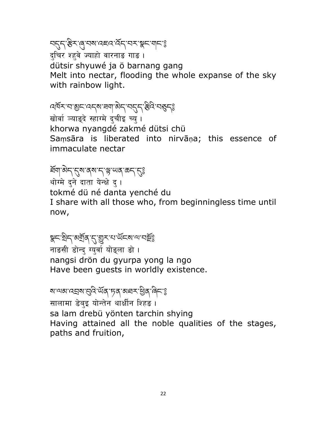न्तुन् हैर लु नब वहव वॅन् नर ब्रूट गानः द्चिर श्हवे ज्याहो वारनाङ गाङ ।

dütsir shyuwé ja ö barnang gang Melt into nectar, flooding the whole expanse of the sky with rainbow light.

## বর্ষিম'ন'খ্রুম'বর্ম'ন্মা'ন্ত্রীম'ন্মন্দ্রী 'ব্রুম্ভি

खोर्वा ज्याङ्दे स्हाग्मे दचीइ च्य् । khorwa nyangdé zakmé dütsi chü Saṃsāra is liberated into nirvāṇa; this essence of immaculate nectar

#### ইন্সাম্পান্দ্ৰাম্বাৰ্ট কৰা

थोग्मे दने दाता येन्क्षे द। tokmé dü né danta yenché du I share with all those who, from beginningless time until now,

## ञ्जूम श्रेम अर्थोत्' सुराया संस्थानामुङ्

नाङसी डोन्द ग्युर्वा योङ्ला डो । nangsi drön du gyurpa yong la ngo Have been guests in worldly existence.

#### ষ'শৰাৰেন্নৰ'ব্ৰবি'ৰ্ਘৰ'দৃৰ্'ৰাঘ্ন'ষ্টৰ্'ৰ্লি'ঃ

सालामा डेब्इ योन्तेन थार्कीन शिहड़। sa lam drebü yönten tarchin shying Having attained all the noble qualities of the stages, paths and fruition,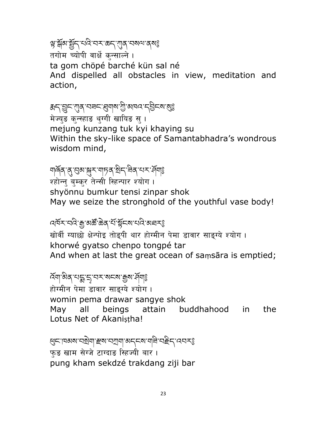## ଞ্ଜ'ৰ্শ্লিষ'ৰ্শ্ৰদ্'ঘৰ'ব্ৰম্পত্ত

तगोम च्योपी वार्क्षे कन्साल्ने ।

ta gom chöpé barché kün sal né

And dispelled all obstacles in view, meditation and action,

## ಕುಗ್ಗಳ್ಷಗಳು ಇತಗತಿಸಿದು. ಇಂಗ್ಲೆ ಸಿಸಿದ್ದಾ

मेज्युङ कुन्स्हाङ थुग्गी खायिङ स् । mejung kunzang tuk kyi khaying su Within the sky-like space of Samantabhadra's wondrous wisdom mind,

## ঘাৰ্ণৰ ব্'ব্ৰুম'ন্মুম'মাচৰ খ্ৰিন'ন্নৰ মেম'ৰ্ম্মাঃ

श्होन्न् बुम्कर तेन्सी स्हिन्पार श्योग।

shyönnu bumkur tensi zinpar shok May we seize the stronghold of the youthful vase body!

#### ব্র্মিমাব্রিং ক্লুমের্স্টিক্রিন্স মন্ত্রি অধ্যমন্ত্র

खोर्वी ग्याछो क्षेन्पोइ तोडपी थार होग्मीन पेमा डावार साङग्ये श्योग । khorwé gyatso chenpo tongpé tar And when at last the great ocean of saṃsāra is emptied;

#### হ্ম ক্ৰীষ্ণ কৰি বিদ্যালয়ৰ স্থায় সমূহ ا<br>ا

होग्मीन पेमा डावार साङग्ये श्योग । womin pema drawar sangye shok May all beings attain buddhahood in the Lotus Net of Akanistha!

હ्मदावस्यानसेलाहरू का अनुस्यानी सहित्यस्थ फड खाम सेग्जे टाग्दाङ स्हिज्यी बार। pung kham sekdzé trakdang ziji bar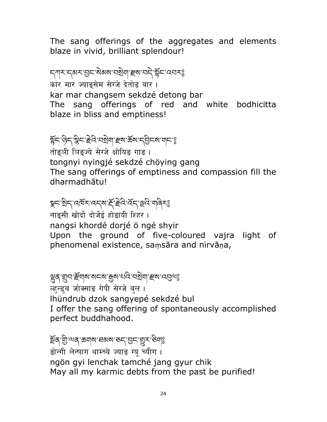The sang offerings of the aggregates and elements blaze in vivid, brilliant splendour!

ন্সাম নেম্বৰ ভিন্ন অৰ্থমা বিৰ্মাণ কৰি বিৰ্মা कार मार ज्याङुसेम सेग्जे देतोङ बार। kar mar changsem sekdzé detong bar The sang offerings of red and white bodhicitta blaze in bliss and emptiness!

## ङ्गॅट'क्रेट'ङ्ग्रेट'हेदे'चञ्जेष|'ह्रूष'ऊॅब'द्उैटब'ग्रट'ई

तोड़ुञी ञिङ्ज्ये सेग्जे क्षोयिङ गाङ । tongnyi nyingjé sekdzé chöying gang The sang offerings of emptiness and compassion fill the dharmadhātu!

## ৠ८་སྲིད་འལོར་འདས་རོ་རྲེའ་ལོད་ལྲའི་གེནརརྱ

नाङसी खोर्दो दोर्जेई होङायी शिहर । nangsi khordé dorjé ö ngé shyir Upon the ground of five-coloured vajra light of phenomenal existence, saṃsāra and nirvāṇa,

### ञ्जूत् सुन' स्पान्ना अर्पात् मुत्रा संदिग्य स्वाद्य स्वादन्तुत्वा

ल्हुन्डुब जोक्साङ गेपी सेग्जे बुल । lhündrub dzok sangyepé sekdzé bul I offer the sang offering of spontaneously accomplished perfect buddhahood.

<u>হ</u>্নৰ শ্ৰী. অৰ্থ ছন্ৰাৰ মেৰাৰ কৰা হৈছিল প্ৰি डोन्गी लेन्याग थाम्च्ये ज्याङ ग्यू च्यीग । ngön gyi lenchak tamché jang gyur chik May all my karmic debts from the past be purified!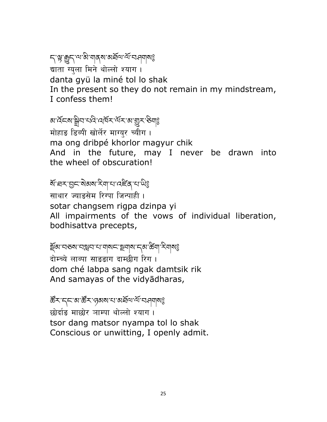#### ราย สู้ธุราชาติ ๆ สุด สาขา สุด สาขา สุด द्याता ग्यला मिने थोल्लो श्याग । danta gyü la miné tol lo shak In the present so they do not remain in my mindstream, I confess them!

### <u>য়৾ৼড়য়৸ৼঢ়৻ড়৻ড়৻ড়৻ৼ৸৻</u>ৼ৸ৼঀৼ

मोहाङ डिब्पी खोर्लेर माग्युर च्यीग । ma ong dribpé khorlor magyur chik And in the future, may I never be drawn into the wheel of obscuration!

### ষ্টা ঘ্ৰহ'ব্ৰুহ'ৰীজ্ঞাস্কৰীৰ বিষয়ে

साथार ज्याङसेम रिग्पा जिन्पाही। sotar changsem rigpa dzinpa yi All impairments of the vows of individual liberation, bodhisattva precepts,

## ই্ষম বৰুম বস্ত্ৰব বা বাৰৰ ইমাস বিষ্ণা স্থানী স্বা

दोम्च्ये लाब्पा साङ्ङाग दाम्छीग रिग । dom ché labpa sang ngak damtsik rik And samayas of the vidyādharas,

ཚǑར་དང་མ་ཚǑར་ཉམས་པ་མཐོལ་ལོ་བཤགས༔ छोर्दाङ माछोर ञाम्पा थोल्लो श्याग । tsor dang matsor nyampa tol lo shak Conscious or unwitting, I openly admit.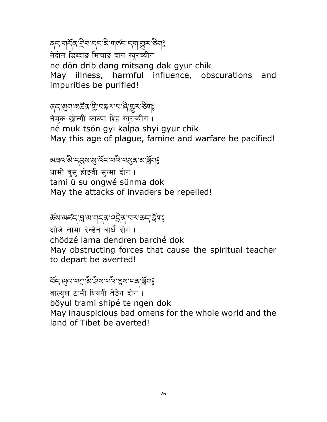## बद्धार्थद्रुश्चित्राद्रद्धार्थारुद्राद्र्याञ्जुराख्यि

नेदोन डिब्दाङ मिचाङ दाग ग्युरच्यीग ne dön drib dang mitsang dak gyur chik May illness, harmful influence, obscurations and impurities be purified!

## ଵഺॱॶॺऻॱॶॾॣॳऄॖॱॳॠऺज़य़ॴॖऄऄऀॱऄॖॷ

नेमुक छोन्गी काल्पा शिह ग्युरच्यीग । né muk tsön gyi kalpa shyi gyur chik May this age of plague, famine and warfare be pacified!

#### 

थामी वुसु होड़वी सुन्मा दोग । tami ü su ongwé sünma dok May the attacks of invaders be repelled!

### कॅष'अर्ह्म ब्र'बाणू नव 'वर्ट्रव्' सम् 'क्रम ब्रिंगड

क्षोजे लामा देन्डेन वार्क्षे दोग । chödzé lama dendren barché dok May obstructing forces that cause the spiritual teacher to depart be averted!

## ส์ธุ พูง สุขารัช สุขารณ์ สุขารสุ สุข

वाल्युल टामी श्यिपी तेडेन दोग। böyul trami shipé te ngen dok May inauspicious bad omens for the whole world and the land of Tibet be averted!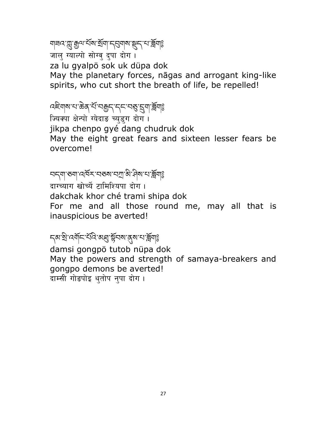## ยุสต สู มิต มีสาร์ สุข 5 สุข สุราย สุข

जालु ग्याल्पो सोग्वु द्पा दोग। za lu gyalpö sok uk düpa dok May the planetary forces, nagas and arrogant king-like spirits, who cut short the breath of life, be repelled!

## ෬৾<del>ឨ</del>๚๙๚๛෮෦ඁ෪෦෪෪෮෦෮෮෪෪෪෪෪

ज्यिक्पा क्षेन्पो ग्येदाङ च्युडुग दोग।

jikpa chenpo gyé dang chudruk dok May the eight great fears and sixteen lesser fears be overcome!

## รธุตุ อย่างผู้ชะ เฮอะเฮนี ยู บูรุนะเบี้ยอ

दाग्च्याग खोर्च्ये टामिश्यिपा दोग ।

dakchak khor ché trami shipa dok

For me and all those round me, may all that is inauspicious be averted!

### **สุส**หรับ เสดี สาราสุสรรม สุสหรัฐ สุ

damsi gongpö tutob nüpa dok May the powers and strength of samaya-breakers and gongpo demons be averted! दाम्सी गोडपोइ थतोप नपा दोग।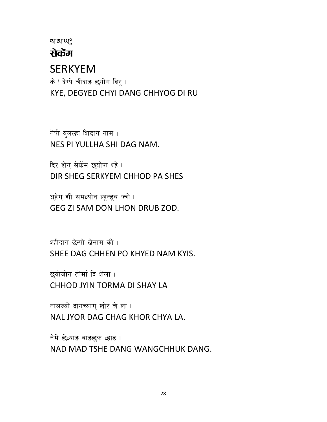สาสานอิ

#### सेकेंम

#### **SERKYEM**

के ! देग्ये चीदाङ छयोग दिर्। KYE, DEGYED CHYI DANG CHHYOG DI RU

नेपी युलल्हा शिदाग नाम । NES PI YULLHA SHI DAG NAM.

दिर शेग सेर्केम छयोपा श्हे । DIR SHEG SERKYEM CHHOD PA SHES

घ्हेग् शी सम्ध्योन ल्ह्न्ड्ब ज्वो । GEG ZI SAM DON LHON DRUB ZOD.

श्हीदाग छेन्पो खेनाम की। SHEE DAG CHHEN PO KHYED NAM KYIS.

छयोजीन तोर्मा दि शेला । CHHOD JYIN TORMA DI SHAY LA

नालज्यो दागच्याग खोर चे ला। NAL JYOR DAG CHAG KHOR CHYA LA.

नेमे छेध्याङ वाङछुक ध्हाङ । NAD MAD TSHE DANG WANGCHHUK DANG.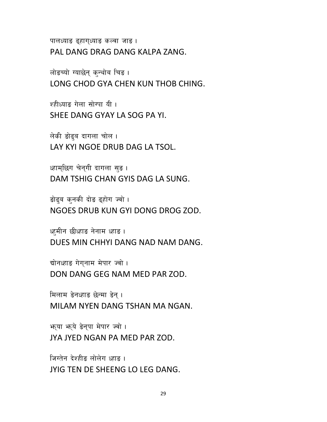पालध्याङ ढुहागुध्याङ कल्वा जाङ । PAL DANG DRAG DANG KALPA ZANG.

लोडच्यो ग्याछेन् कन्थोब चिड। LONG CHOD GYA CHEN KUN THOB CHING.

श्हीध्याङ गेला सोग्पा यी। SHEE DANG GYAY LA SOG PA YI.

लेकी डोढ्ब दागला चोल। LAY KYI NGOE DRUB DAG LA TSOL.

ध्हाम्छिग चेन्गी दागला सुङ । DAM TSHIG CHAN GYIS DAG LA SUNG.

डोढ़ब कनकी दोड़ ढुहोग ज्वो । NGOES DRUB KUN GYI DONG DROG ZOD.

ध्हमीन छीध्हाङ नेनाम ध्हाङ । DUES MIN CHHYI DANG NAD NAM DANG.

द्योनध्हाङ गेगुनाम मेपार ज्वो । DON DANG GEG NAM MED PAR ZOD.

मिलाम डेनध्हाड छेन्मा डेन्। MILAM NYEN DANG TSHAN MA NGAN.

JYA JYED NGAN PA MED PAR ZOD.

भर्या भर्ये डेनुपा मेपार ज्वो ।

जिग्तेन देश्हीड लोलेग ध्हाड़ ।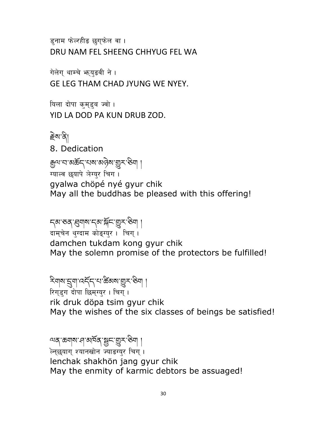ड़नाम फेल्रहीड छग़फेल वा । DRU NAM FEL SHEENG CHHYUG FEL WA

गेलेग् थाम्चे भृयुडवी ने । GE LEG THAM CHAD JYUNG WE NYEY.

थिला दोपा कुमुडुब ज्वो । YID LA DOD PA KUN DRUB ZOD.

Țེས་ནི། 8. Dedication ক্কুন্ম'ন'মস্কঁন্'খম'মণ্ট্ৰম'খ্ৰুম'ঊশ | ग्याल्व छयापे ञेग्युर चिग । gyalwa chöpé nyé gyur chik May all the buddhas be pleased with this offering!

དམ་ཅན་Ȭགས་དམ་ǰོང་ǽར་ཅིག ། दाम्चेन थुग्दाम कोङ्ग्युर । चिग् । damchen tukdam kong gyur chik May the solemn promise of the protectors be fulfilled!

རིགས་ȯག་འདོད་པ་ཚƼ མས་ǽར་ཅིག ། रिग्डुग दोपा छिम्ग्युर । चिग् । $\;$ rik druk döpa tsim gyur chik May the wishes of the six classes of beings be satisfied!

ལན་ཆགས་ཤ་མཁོན་ɚང་ǽར་ཅིག ། ल्छियाग् श्यानखोन ज्याडग्यर चिग् । lenchak shakhön jang gyur chik May the enmity of karmic debtors be assuaged!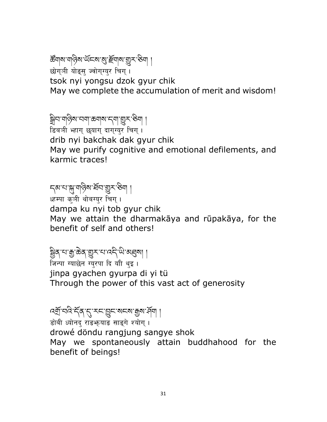## ౙॺॺॱॺऄॶॎॱ<sup></sup>ॶॱख़ॕॴॴख़ॷॸॱ

छोगञी योङस ज्वोगग्यर चिग ।

tsok nyi yongsu dzok gyur chik

May we complete the accumulation of merit and wisdom!

Ȍིབ་གཉིས་བག་ཆགས་དག་ǽར་ཅིག །

डिबञी भ्हाग् छयाग् दाग्**ग्युर चिग्** । drib nyi bakchak dak gyur chik May we purify cognitive and emotional defilements, and karmic traces!

## ন্মামাজ্যান বিশ্বজন ।

क्ष्म्पा कुत्री थोबग्युर चिग् ।

dampa ku nyi tob gyur chik

May we attain the dharmakāya and rūpakāya, for the benefit of self and others!

## ষ্ট্ৰিৰ্'থ'ক্স'ক্কৰ্'গ্ৰুহ''থ'ব্দ'থ'ম্ব্ৰৰ্থ||

जिन्पा ग्याछेन ग्युरपा दि याी थुइ । jinpa gyachen gyurpa di yi tü Through the power of this vast act of generosity

## বর্ষ্মা ঘন্ট দ্বিশ্ম বিশ্ব দ্বিশ্য বিশ্ব ।

डोबी ध्योनद राङ़्भयाङ साङ्गे श्योग् ।

drowé döndu rangjung sangye shok

May we spontaneously attain buddhahood for the benefit of beings!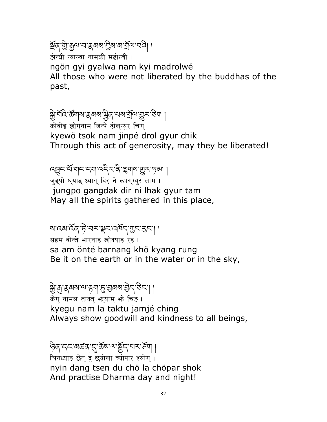## ষ্টৰ্ শ্ৰী, শ্ৰীৰা, প্ৰাপ্ত প্ৰথম, প্ৰীৰা, প্ৰত্নৰ বিভি

डोन्घी ग्याल्वा नामकी मढोल्वी ।

ngön gyi gyalwa nam kyi madrolwé

All those who were not liberated by the buddhas of the past,

## ক্স্ৰী ব্ৰত্নি ষ্ক্ৰবাৰ ক্ষুৱ ব্ৰত্নি ব্ৰত্নি বিভিন্ন প্ৰদ

\_\_<br>कोवोइ छोगनाम जिन्पे ढोल्ग्युर चिग् kyewö tsok nam jinpé drol gyur chik Through this act of generosity, may they be liberated!

འɏང་པོ་གང་དག་འདིར་ནི་ʈགས་ǽར་ཏམ། ། जड़पो घयाड़ ध्याग दिर ने ल्हागग्यर ताम। jungpo gangdak dir ni lhak gyur tam May all the spirits gathered in this place,

## ষারেমার্মক্'দ্ট'নমাঞ্জন'র্মান্'ম্রুন'মেদ্' |

सहम् वोन्ते भारनाङ खोक्याङ रङ। sa am önté barnang khö kyang rung Be it on the earth or in the water or in the sky,

### Dzེ་ȃ་ȷམས་ལ་Ȧག་ȣ་Ɏམས་Ɏེད་ཅིང་། །

केगु नामल ताक्तु भूयाम् भे चिङ । kyegu nam la taktu jamjé ching Always show goodwill and kindness to all beings,

## ཉིན་དང་མཚན་ȭ་ཆོས་ལ་Ʉོད་པར་ཤོག །

त्रिनध्याङ छेन् द छयोला च्योपार श्योग् । nyin dang tsen du chö la chöpar shok And practise Dharma day and night!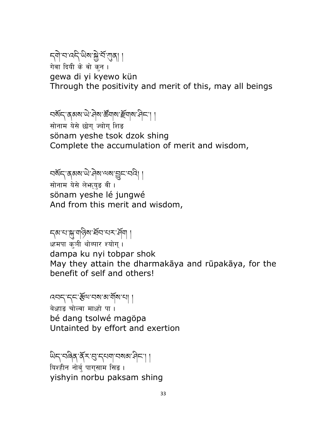## ন্মী'ন'নন্দি'থিম'ক্লী'র্শ'গ্রন্থ| |

गेवा दियी के वो कुन । gewa di yi kyewo kün Through the positivity and merit of this, may all beings

## བསོད་ནམས་ལེ་བིས་རརོགས་རརོགས་བིང་། །

सोनाम येसे छोग ज्वोग शिङ sönam yeshe tsok dzok shing Complete the accumulation of merit and wisdom,

## བསོད་ནམས་ཡེ་ཤེས་ལས་ɏང་བའི། །

सोनाम येसे लेभ्रुयड़ वी। sönam yeshe lé jungwé And from this merit and wisdom,

## ন্ম'থ'ক্সু'মান্টিম'ৰ্শ্ৰন'ম্ম' প্ৰ্মা ।

<sup>ध्हमपा</sup> क्ञी थोब्पार श्योग। dampa ku nyi tobpar shok May they attain the dharmakāya and rūpakāya, for the benefit of self and others!

## འབད་དང་ɬོལ་བས་མ་གོས་པ། །

बेध्हाङ चोल्वा माध्हो पा। bé dang tsolwé magöpa Untainted by effort and exertion

६<br>धन्'चढ़ेव कॅ्राड्'न्यवाचब्ब्यान्' । यिश्हीन नोर्बु पाग्साम सिङ । yishyin norbu paksam shing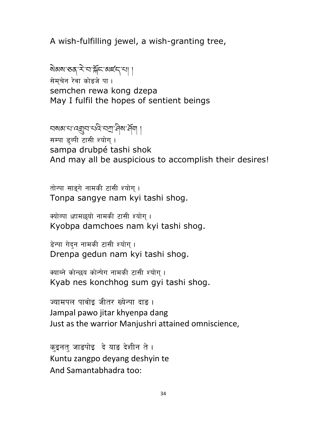A wish-fulfilling jewel, a wish-granting tree,

སེམས་ཅན་རེ་བ་ǰོང་མཛད་པ། ། सेमचेन रेवा कोङजे पा। semchen rewa kong dzepa May I fulfil the hopes of sentient beings

བསམ་པ་འǿབ་པའི་བǦ་ཤིས་ཤོག །

सम्पा डुब्पी टासी श्योग् । sampa drubpé tashi shok And may all be auspicious to accomplish their desires!

तोन्पा साइगे नामकी टासी श्योग् । Tonpa sangye nam kyi tashi shog.

क्योब्पा ध्हामछयो नामकी टासी श्योग् । Kyobpa damchoes nam kyi tashi shog.

डेन्पा गेदन नामकी टासी श्योग् । Drenpa gedun nam kyi tashi shog.

क्याब्ने कोन्छय कोन्षेग नामकी टासी श्योग। Kyab nes konchhog sum gyi tashi shog.

ज्यामपल पावोइ जीतर ख्येन्पा दाङ । Jampal pawo jitar khyenpa dang Just as the warrior Manjushri attained omniscience,

क्इनतु जाडपोइ दे याङ देशीन ते । Kuntu zangpo deyang deshyin te And Samantabhadra too: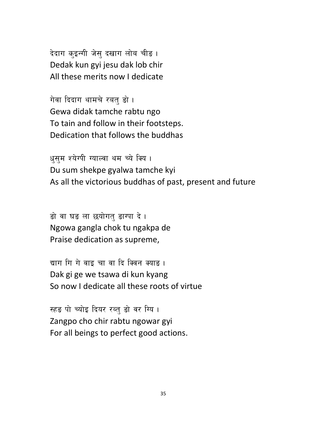देदाग कुइन्गी जेसु दखाग लोब चीड़ । Dedak kun gyi jesu dak lob chir All these merits now I dedicate

गेवा दिदाग थामचे रबत डो । Gewa didak tamche rabtu ngo To tain and follow in their footsteps. Dedication that follows the buddhas

धुसुम श्येग्पी ग्याल्वा थम च्ये क्यि । Du sum shekpe gyalwa tamche kyi As all the victorious buddhas of past, present and future

ड़ो वा घड़ ला छयोगत् डाग्पा दे। Ngowa gangla chok tu ngakpa de Praise dedication as supreme,

द्याग गि गे वाइ चा वा दि क्विन क्याङ । Dak gi ge we tsawa di kun kyang So now I dedicate all these roots of virtue

स्हड़ पो च्योइ दियर रब्तु डो वर ग्यि । Zangpo cho chir rabtu ngowar gyi For all beings to perfect good actions.